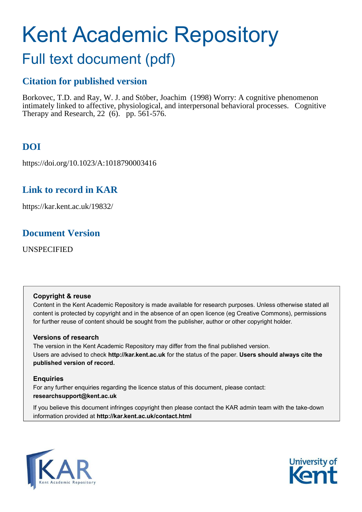# Kent Academic Repository

## Full text document (pdf)

## **Citation for published version**

Borkovec, T.D. and Ray, W. J. and Stöber, Joachim (1998) Worry: A cognitive phenomenon intimately linked to affective, physiological, and interpersonal behavioral processes. Cognitive Therapy and Research, 22 (6). pp. 561-576.

## **DOI**

https://doi.org/10.1023/A:1018790003416

## **Link to record in KAR**

https://kar.kent.ac.uk/19832/

## **Document Version**

UNSPECIFIED

## **Copyright & reuse**

Content in the Kent Academic Repository is made available for research purposes. Unless otherwise stated all content is protected by copyright and in the absence of an open licence (eg Creative Commons), permissions for further reuse of content should be sought from the publisher, author or other copyright holder.

## **Versions of research**

The version in the Kent Academic Repository may differ from the final published version. Users are advised to check **http://kar.kent.ac.uk** for the status of the paper. **Users should always cite the published version of record.**

## **Enquiries**

For any further enquiries regarding the licence status of this document, please contact: **researchsupport@kent.ac.uk**

If you believe this document infringes copyright then please contact the KAR admin team with the take-down information provided at **http://kar.kent.ac.uk/contact.html**



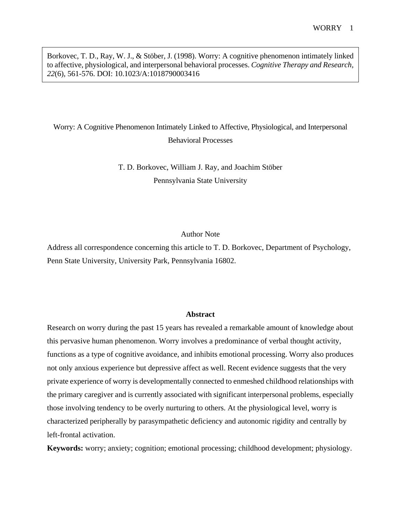Borkovec, T. D., Ray, W. J., & Stöber, J. (1998). Worry: A cognitive phenomenon intimately linked to affective, physiological, and interpersonal behavioral processes. *Cognitive Therapy and Research, 22*(6), 561-576. DOI: 10.1023/A:1018790003416

## Worry: A Cognitive Phenomenon Intimately Linked to Affective, Physiological, and Interpersonal Behavioral Processes

T. D. Borkovec, William J. Ray, and Joachim Stöber Pennsylvania State University

## Author Note

Address all correspondence concerning this article to T. D. Borkovec, Department of Psychology, Penn State University, University Park, Pennsylvania 16802.

#### **Abstract**

Research on worry during the past 15 years has revealed a remarkable amount of knowledge about this pervasive human phenomenon. Worry involves a predominance of verbal thought activity, functions as a type of cognitive avoidance, and inhibits emotional processing. Worry also produces not only anxious experience but depressive affect as well. Recent evidence suggests that the very private experience of worry is developmentally connected to enmeshed childhood relationships with the primary caregiver and is currently associated with significant interpersonal problems, especially those involving tendency to be overly nurturing to others. At the physiological level, worry is characterized peripherally by parasympathetic deficiency and autonomic rigidity and centrally by left-frontal activation.

**Keywords:** worry; anxiety; cognition; emotional processing; childhood development; physiology.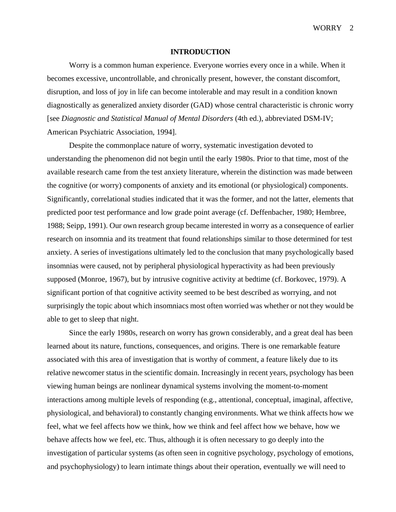WORRY<sub>2</sub>

#### **INTRODUCTION**

Worry is a common human experience. Everyone worries every once in a while. When it becomes excessive, uncontrollable, and chronically present, however, the constant discomfort, disruption, and loss of joy in life can become intolerable and may result in a condition known diagnostically as generalized anxiety disorder (GAD) whose central characteristic is chronic worry [see *Diagnostic and Statistical Manual of Mental Disorders* (4th ed.), abbreviated DSM-IV; American Psychiatric Association, 1994].

Despite the commonplace nature of worry, systematic investigation devoted to understanding the phenomenon did not begin until the early 1980s. Prior to that time, most of the available research came from the test anxiety literature, wherein the distinction was made between the cognitive (or worry) components of anxiety and its emotional (or physiological) components. Significantly, correlational studies indicated that it was the former, and not the latter, elements that predicted poor test performance and low grade point average (cf. Deffenbacher, 1980; Hembree, 1988; Seipp, 1991). Our own research group became interested in worry as a consequence of earlier research on insomnia and its treatment that found relationships similar to those determined for test anxiety. A series of investigations ultimately led to the conclusion that many psychologically based insomnias were caused, not by peripheral physiological hyperactivity as had been previously supposed (Monroe, 1967), but by intrusive cognitive activity at bedtime (cf. Borkovec, 1979). A significant portion of that cognitive activity seemed to be best described as worrying, and not surprisingly the topic about which insomniacs most often worried was whether or not they would be able to get to sleep that night.

Since the early 1980s, research on worry has grown considerably, and a great deal has been learned about its nature, functions, consequences, and origins. There is one remarkable feature associated with this area of investigation that is worthy of comment, a feature likely due to its relative newcomer status in the scientific domain. Increasingly in recent years, psychology has been viewing human beings are nonlinear dynamical systems involving the moment-to-moment interactions among multiple levels of responding (e.g., attentional, conceptual, imaginal, affective, physiological, and behavioral) to constantly changing environments. What we think affects how we feel, what we feel affects how we think, how we think and feel affect how we behave, how we behave affects how we feel, etc. Thus, although it is often necessary to go deeply into the investigation of particular systems (as often seen in cognitive psychology, psychology of emotions, and psychophysiology) to learn intimate things about their operation, eventually we will need to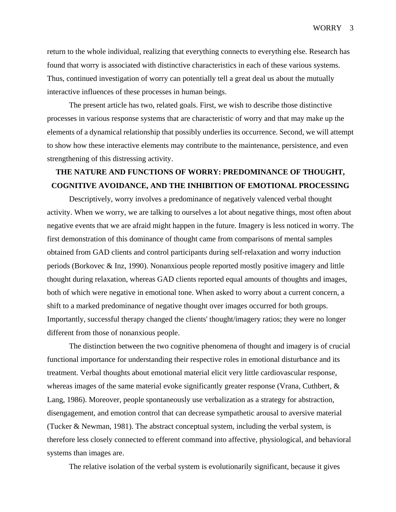return to the whole individual, realizing that everything connects to everything else. Research has found that worry is associated with distinctive characteristics in each of these various systems. Thus, continued investigation of worry can potentially tell a great deal us about the mutually interactive influences of these processes in human beings.

The present article has two, related goals. First, we wish to describe those distinctive processes in various response systems that are characteristic of worry and that may make up the elements of a dynamical relationship that possibly underlies its occurrence. Second, we will attempt to show how these interactive elements may contribute to the maintenance, persistence, and even strengthening of this distressing activity.

## **THE NATURE AND FUNCTIONS OF WORRY: PREDOMINANCE OF THOUGHT, COGNITIVE AVOIDANCE, AND THE INHIBITION OF EMOTIONAL PROCESSING**

Descriptively, worry involves a predominance of negatively valenced verbal thought activity. When we worry, we are talking to ourselves a lot about negative things, most often about negative events that we are afraid might happen in the future. Imagery is less noticed in worry. The first demonstration of this dominance of thought came from comparisons of mental samples obtained from GAD clients and control participants during self-relaxation and worry induction periods (Borkovec & Inz, 1990). Nonanxious people reported mostly positive imagery and little thought during relaxation, whereas GAD clients reported equal amounts of thoughts and images, both of which were negative in emotional tone. When asked to worry about a current concern, a shift to a marked predominance of negative thought over images occurred for both groups. Importantly, successful therapy changed the clients' thought/imagery ratios; they were no longer different from those of nonanxious people.

The distinction between the two cognitive phenomena of thought and imagery is of crucial functional importance for understanding their respective roles in emotional disturbance and its treatment. Verbal thoughts about emotional material elicit very little cardiovascular response, whereas images of the same material evoke significantly greater response (Vrana, Cuthbert, & Lang, 1986). Moreover, people spontaneously use verbalization as a strategy for abstraction, disengagement, and emotion control that can decrease sympathetic arousal to aversive material (Tucker & Newman, 1981). The abstract conceptual system, including the verbal system, is therefore less closely connected to efferent command into affective, physiological, and behavioral systems than images are.

The relative isolation of the verbal system is evolutionarily significant, because it gives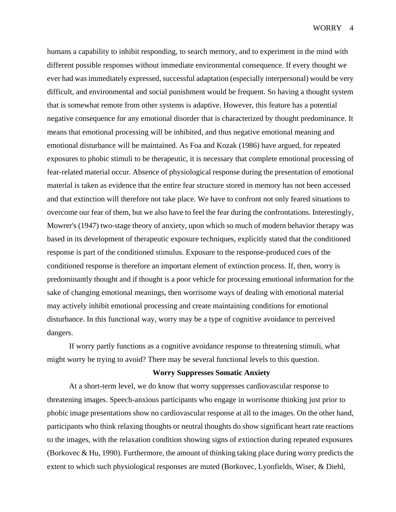WORRY 4

humans a capability to inhibit responding, to search memory, and to experiment in the mind with different possible responses without immediate environmental consequence. If every thought we ever had was immediately expressed, successful adaptation (especially interpersonal) would be very difficult, and environmental and social punishment would be frequent. So having a thought system that is somewhat remote from other systems is adaptive. However, this feature has a potential negative consequence for any emotional disorder that is characterized by thought predominance. It means that emotional processing will be inhibited, and thus negative emotional meaning and emotional disturbance will be maintained. As Foa and Kozak (1986) have argued, for repeated exposures to phobic stimuli to be therapeutic, it is necessary that complete emotional processing of fear-related material occur. Absence of physiological response during the presentation of emotional material is taken as evidence that the entire fear structure stored in memory has not been accessed and that extinction will therefore not take place. We have to confront not only feared situations to overcome our fear of them, but we also have to feel the fear during the confrontations. Interestingly, Mowrer's (1947) two-stage theory of anxiety, upon which so much of modern behavior therapy was based in its development of therapeutic exposure techniques, explicitly stated that the conditioned response is part of the conditioned stimulus. Exposure to the response-produced cues of the conditioned response is therefore an important element of extinction process. If, then, worry is predominantly thought and if thought is a poor vehicle for processing emotional information for the sake of changing emotional meanings, then worrisome ways of dealing with emotional material may actively inhibit emotional processing and create maintaining conditions for emotional disturbance. In this functional way, worry may be a type of cognitive avoidance to perceived dangers.

If worry partly functions as a cognitive avoidance response to threatening stimuli, what might worry be trying to avoid? There may be several functional levels to this question.

## **Worry Suppresses Somatic Anxiety**

At a short-term level, we do know that worry suppresses cardiovascular response to threatening images. Speech-anxious participants who engage in worrisome thinking just prior to phobic image presentations show no cardiovascular response at all to the images. On the other hand, participants who think relaxing thoughts or neutral thoughts do show significant heart rate reactions to the images, with the relaxation condition showing signs of extinction during repeated exposures (Borkovec & Hu, 1990). Furthermore, the amount of thinking taking place during worry predicts the extent to which such physiological responses are muted (Borkovec, Lyonfields, Wiser, & Diehl,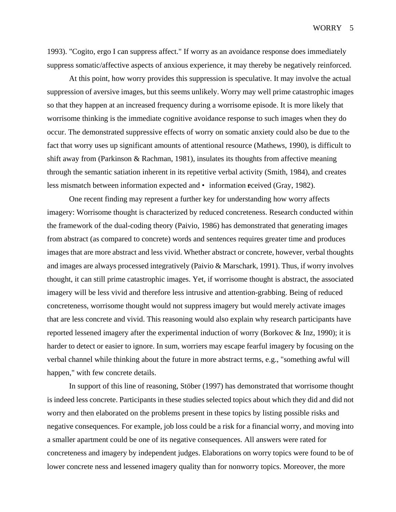WORRY 5

1993). "Cogito, ergo I can suppress affect." If worry as an avoidance response does immediately suppress somatic/affective aspects of anxious experience, it may thereby be negatively reinforced.

At this point, how worry provides this suppression is speculative. It may involve the actual suppression of aversive images, but this seems unlikely. Worry may well prime catastrophic images so that they happen at an increased frequency during a worrisome episode. It is more likely that worrisome thinking is the immediate cognitive avoidance response to such images when they do occur. The demonstrated suppressive effects of worry on somatic anxiety could also be due to the fact that worry uses up significant amounts of attentional resource (Mathews, 1990), is difficult to shift away from (Parkinson & Rachman, 1981), insulates its thoughts from affective meaning through the semantic satiation inherent in its repetitive verbal activity (Smith, 1984), and creates less mismatch between information expected and • information eceived (Gray, 1982).

One recent finding may represent a further key for understanding how worry affects imagery: Worrisome thought is characterized by reduced concreteness. Research conducted within the framework of the dual-coding theory (Paivio, 1986) has demonstrated that generating images from abstract (as compared to concrete) words and sentences requires greater time and produces images that are more abstract and less vivid. Whether abstract or concrete, however, verbal thoughts and images are always processed integratively (Paivio & Marschark, 1991). Thus, if worry involves thought, it can still prime catastrophic images. Yet, if worrisome thought is abstract, the associated imagery will be less vivid and therefore less intrusive and attention-grabbing. Being of reduced concreteness, worrisome thought would not suppress imagery but would merely activate images that are less concrete and vivid. This reasoning would also explain why research participants have reported lessened imagery after the experimental induction of worry (Borkovec & Inz, 1990); it is harder to detect or easier to ignore. In sum, worriers may escape fearful imagery by focusing on the verbal channel while thinking about the future in more abstract terms, e.g., "something awful will happen," with few concrete details.

In support of this line of reasoning, Stöber (1997) has demonstrated that worrisome thought is indeed less concrete. Participants in these studies selected topics about which they did and did not worry and then elaborated on the problems present in these topics by listing possible risks and negative consequences. For example, job loss could be a risk for a financial worry, and moving into a smaller apartment could be one of its negative consequences. All answers were rated for concreteness and imagery by independent judges. Elaborations on worry topics were found to be of lower concrete ness and lessened imagery quality than for nonworry topics. Moreover, the more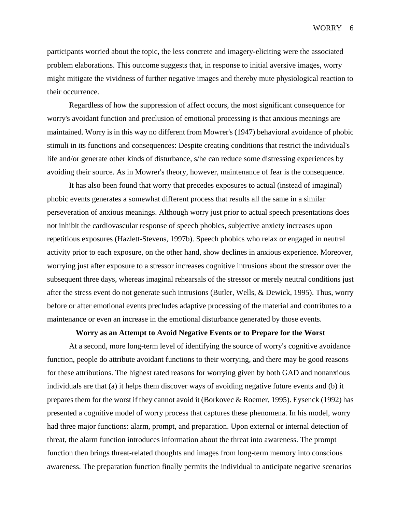participants worried about the topic, the less concrete and imagery-eliciting were the associated problem elaborations. This outcome suggests that, in response to initial aversive images, worry might mitigate the vividness of further negative images and thereby mute physiological reaction to their occurrence.

Regardless of how the suppression of affect occurs, the most significant consequence for worry's avoidant function and preclusion of emotional processing is that anxious meanings are maintained. Worry is in this way no different from Mowrer's (1947) behavioral avoidance of phobic stimuli in its functions and consequences: Despite creating conditions that restrict the individual's life and/or generate other kinds of disturbance, s/he can reduce some distressing experiences by avoiding their source. As in Mowrer's theory, however, maintenance of fear is the consequence.

It has also been found that worry that precedes exposures to actual (instead of imaginal) phobic events generates a somewhat different process that results all the same in a similar perseveration of anxious meanings. Although worry just prior to actual speech presentations does not inhibit the cardiovascular response of speech phobics, subjective anxiety increases upon repetitious exposures (Hazlett-Stevens, 1997b). Speech phobics who relax or engaged in neutral activity prior to each exposure, on the other hand, show declines in anxious experience. Moreover, worrying just after exposure to a stressor increases cognitive intrusions about the stressor over the subsequent three days, whereas imaginal rehearsals of the stressor or merely neutral conditions just after the stress event do not generate such intrusions (Butler, Wells, & Dewick, 1995). Thus, worry before or after emotional events precludes adaptive processing of the material and contributes to a maintenance or even an increase in the emotional disturbance generated by those events.

## **Worry as an Attempt to Avoid Negative Events or to Prepare for the Worst**

At a second, more long-term level of identifying the source of worry's cognitive avoidance function, people do attribute avoidant functions to their worrying, and there may be good reasons for these attributions. The highest rated reasons for worrying given by both GAD and nonanxious individuals are that (a) it helps them discover ways of avoiding negative future events and (b) it prepares them for the worst if they cannot avoid it (Borkovec & Roemer, 1995). Eysenck (1992) has presented a cognitive model of worry process that captures these phenomena. In his model, worry had three major functions: alarm, prompt, and preparation. Upon external or internal detection of threat, the alarm function introduces information about the threat into awareness. The prompt function then brings threat-related thoughts and images from long-term memory into conscious awareness. The preparation function finally permits the individual to anticipate negative scenarios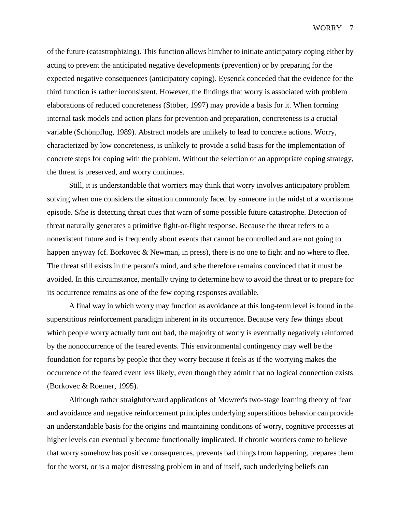of the future (catastrophizing). This function allows him/her to initiate anticipatory coping either by acting to prevent the anticipated negative developments (prevention) or by preparing for the expected negative consequences (anticipatory coping). Eysenck conceded that the evidence for the third function is rather inconsistent. However, the findings that worry is associated with problem elaborations of reduced concreteness (Stöber, 1997) may provide a basis for it. When forming internal task models and action plans for prevention and preparation, concreteness is a crucial variable (Schönpflug, 1989). Abstract models are unlikely to lead to concrete actions. Worry, characterized by low concreteness, is unlikely to provide a solid basis for the implementation of concrete steps for coping with the problem. Without the selection of an appropriate coping strategy, the threat is preserved, and worry continues.

Still, it is understandable that worriers may think that worry involves anticipatory problem solving when one considers the situation commonly faced by someone in the midst of a worrisome episode. S/he is detecting threat cues that warn of some possible future catastrophe. Detection of threat naturally generates a primitive fight-or-flight response. Because the threat refers to a nonexistent future and is frequently about events that cannot be controlled and are not going to happen anyway (cf. Borkovec & Newman, in press), there is no one to fight and no where to flee. The threat still exists in the person's mind, and s/he therefore remains convinced that it must be avoided. In this circumstance, mentally trying to determine how to avoid the threat or to prepare for its occurrence remains as one of the few coping responses available.

A final way in which worry may function as avoidance at this long-term level is found in the superstitious reinforcement paradigm inherent in its occurrence. Because very few things about which people worry actually turn out bad, the majority of worry is eventually negatively reinforced by the nonoccurrence of the feared events. This environmental contingency may well be the foundation for reports by people that they worry because it feels as if the worrying makes the occurrence of the feared event less likely, even though they admit that no logical connection exists (Borkovec & Roemer, 1995).

Although rather straightforward applications of Mowrer's two-stage learning theory of fear and avoidance and negative reinforcement principles underlying superstitious behavior can provide an understandable basis for the origins and maintaining conditions of worry, cognitive processes at higher levels can eventually become functionally implicated. If chronic worriers come to believe that worry somehow has positive consequences, prevents bad things from happening, prepares them for the worst, or is a major distressing problem in and of itself, such underlying beliefs can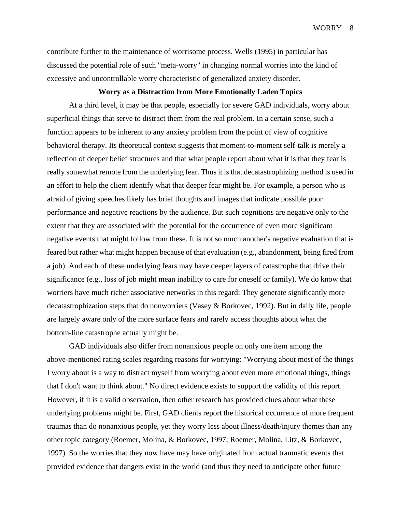contribute further to the maintenance of worrisome process. Wells (1995) in particular has discussed the potential role of such "meta-worry" in changing normal worries into the kind of excessive and uncontrollable worry characteristic of generalized anxiety disorder.

#### **Worry as a Distraction from More Emotionally Laden Topics**

At a third level, it may be that people, especially for severe GAD individuals, worry about superficial things that serve to distract them from the real problem. In a certain sense, such a function appears to be inherent to any anxiety problem from the point of view of cognitive behavioral therapy. Its theoretical context suggests that moment-to-moment self-talk is merely a reflection of deeper belief structures and that what people report about what it is that they fear is really somewhat remote from the underlying fear. Thus it is that decatastrophizing method is used in an effort to help the client identify what that deeper fear might be. For example, a person who is afraid of giving speeches likely has brief thoughts and images that indicate possible poor performance and negative reactions by the audience. But such cognitions are negative only to the extent that they are associated with the potential for the occurrence of even more significant negative events that might follow from these. It is not so much another's negative evaluation that is feared but rather what might happen because of that evaluation (e.g., abandonment, being fired from a job). And each of these underlying fears may have deeper layers of catastrophe that drive their significance (e.g., loss of job might mean inability to care for oneself or family). We do know that worriers have much richer associative networks in this regard: They generate significantly more decatastrophization steps that do nonworriers (Vasey & Borkovec, 1992). But in daily life, people are largely aware only of the more surface fears and rarely access thoughts about what the bottom-line catastrophe actually might be.

GAD individuals also differ from nonanxious people on only one item among the above-mentioned rating scales regarding reasons for worrying: "Worrying about most of the things I worry about is a way to distract myself from worrying about even more emotional things, things that I don't want to think about." No direct evidence exists to support the validity of this report. However, if it is a valid observation, then other research has provided clues about what these underlying problems might be. First, GAD clients report the historical occurrence of more frequent traumas than do nonanxious people, yet they worry less about illness/death/injury themes than any other topic category (Roemer, Molina, & Borkovec, 1997; Roemer, Molina, Litz, & Borkovec, 1997). So the worries that they now have may have originated from actual traumatic events that provided evidence that dangers exist in the world (and thus they need to anticipate other future

WORRY 8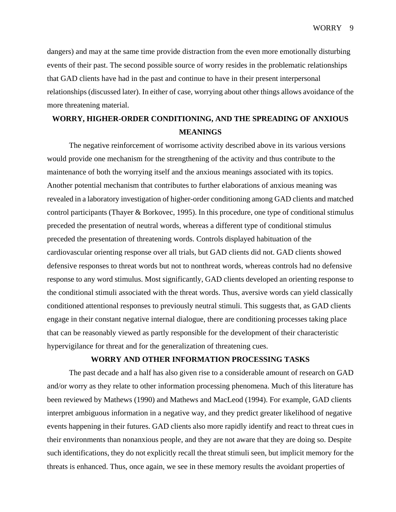WORRY 9

dangers) and may at the same time provide distraction from the even more emotionally disturbing events of their past. The second possible source of worry resides in the problematic relationships that GAD clients have had in the past and continue to have in their present interpersonal relationships (discussed later). In either of case, worrying about other things allows avoidance of the more threatening material.

## **WORRY, HIGHER-ORDER CONDITIONING, AND THE SPREADING OF ANXIOUS MEANINGS**

The negative reinforcement of worrisome activity described above in its various versions would provide one mechanism for the strengthening of the activity and thus contribute to the maintenance of both the worrying itself and the anxious meanings associated with its topics. Another potential mechanism that contributes to further elaborations of anxious meaning was revealed in a laboratory investigation of higher-order conditioning among GAD clients and matched control participants (Thayer & Borkovec, 1995). In this procedure, one type of conditional stimulus preceded the presentation of neutral words, whereas a different type of conditional stimulus preceded the presentation of threatening words. Controls displayed habituation of the cardiovascular orienting response over all trials, but GAD clients did not. GAD clients showed defensive responses to threat words but not to nonthreat words, whereas controls had no defensive response to any word stimulus. Most significantly, GAD clients developed an orienting response to the conditional stimuli associated with the threat words. Thus, aversive words can yield classically conditioned attentional responses to previously neutral stimuli. This suggests that, as GAD clients engage in their constant negative internal dialogue, there are conditioning processes taking place that can be reasonably viewed as partly responsible for the development of their characteristic hypervigilance for threat and for the generalization of threatening cues.

## **WORRY AND OTHER INFORMATION PROCESSING TASKS**

The past decade and a half has also given rise to a considerable amount of research on GAD and/or worry as they relate to other information processing phenomena. Much of this literature has been reviewed by Mathews (1990) and Mathews and MacLeod (1994). For example, GAD clients interpret ambiguous information in a negative way, and they predict greater likelihood of negative events happening in their futures. GAD clients also more rapidly identify and react to threat cues in their environments than nonanxious people, and they are not aware that they are doing so. Despite such identifications, they do not explicitly recall the threat stimuli seen, but implicit memory for the threats is enhanced. Thus, once again, we see in these memory results the avoidant properties of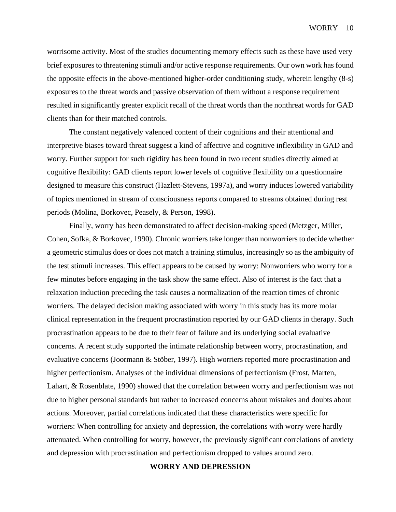worrisome activity. Most of the studies documenting memory effects such as these have used very brief exposures to threatening stimuli and/or active response requirements. Our own work has found the opposite effects in the above-mentioned higher-order conditioning study, wherein lengthy (8-s) exposures to the threat words and passive observation of them without a response requirement resulted in significantly greater explicit recall of the threat words than the nonthreat words for GAD clients than for their matched controls.

The constant negatively valenced content of their cognitions and their attentional and interpretive biases toward threat suggest a kind of affective and cognitive inflexibility in GAD and worry. Further support for such rigidity has been found in two recent studies directly aimed at cognitive flexibility: GAD clients report lower levels of cognitive flexibility on a questionnaire designed to measure this construct (Hazlett-Stevens, 1997a), and worry induces lowered variability of topics mentioned in stream of consciousness reports compared to streams obtained during rest periods (Molina, Borkovec, Peasely, & Person, 1998).

Finally, worry has been demonstrated to affect decision-making speed (Metzger, Miller, Cohen, Sofka, & Borkovec, 1990). Chronic worriers take longer than nonworriers to decide whether a geometric stimulus does or does not match a training stimulus, increasingly so as the ambiguity of the test stimuli increases. This effect appears to be caused by worry: Nonworriers who worry for a few minutes before engaging in the task show the same effect. Also of interest is the fact that a relaxation induction preceding the task causes a normalization of the reaction times of chronic worriers. The delayed decision making associated with worry in this study has its more molar clinical representation in the frequent procrastination reported by our GAD clients in therapy. Such procrastination appears to be due to their fear of failure and its underlying social evaluative concerns. A recent study supported the intimate relationship between worry, procrastination, and evaluative concerns (Joormann & Stöber, 1997). High worriers reported more procrastination and higher perfectionism. Analyses of the individual dimensions of perfectionism (Frost, Marten, Lahart, & Rosenblate, 1990) showed that the correlation between worry and perfectionism was not due to higher personal standards but rather to increased concerns about mistakes and doubts about actions. Moreover, partial correlations indicated that these characteristics were specific for worriers: When controlling for anxiety and depression, the correlations with worry were hardly attenuated. When controlling for worry, however, the previously significant correlations of anxiety and depression with procrastination and perfectionism dropped to values around zero.

## **WORRY AND DEPRESSION**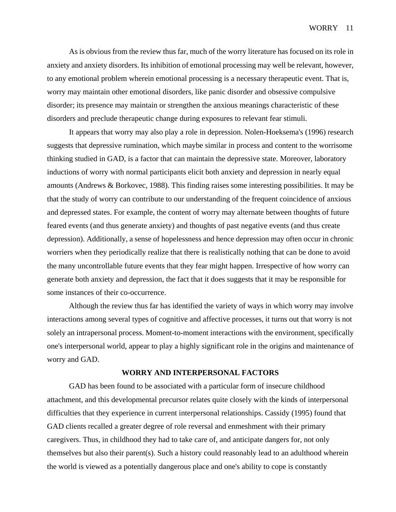As is obvious from the review thus far, much of the worry literature has focused on its role in anxiety and anxiety disorders. Its inhibition of emotional processing may well be relevant, however, to any emotional problem wherein emotional processing is a necessary therapeutic event. That is, worry may maintain other emotional disorders, like panic disorder and obsessive compulsive disorder; its presence may maintain or strengthen the anxious meanings characteristic of these disorders and preclude therapeutic change during exposures to relevant fear stimuli.

It appears that worry may also play a role in depression. Nolen-Hoeksema's (1996) research suggests that depressive rumination, which maybe similar in process and content to the worrisome thinking studied in GAD, is a factor that can maintain the depressive state. Moreover, laboratory inductions of worry with normal participants elicit both anxiety and depression in nearly equal amounts (Andrews & Borkovec, 1988). This finding raises some interesting possibilities. It may be that the study of worry can contribute to our understanding of the frequent coincidence of anxious and depressed states. For example, the content of worry may alternate between thoughts of future feared events (and thus generate anxiety) and thoughts of past negative events (and thus create depression). Additionally, a sense of hopelessness and hence depression may often occur in chronic worriers when they periodically realize that there is realistically nothing that can be done to avoid the many uncontrollable future events that they fear might happen. Irrespective of how worry can generate both anxiety and depression, the fact that it does suggests that it may be responsible for some instances of their co-occurrence.

Although the review thus far has identified the variety of ways in which worry may involve interactions among several types of cognitive and affective processes, it turns out that worry is not solely an intrapersonal process. Moment-to-moment interactions with the environment, specifically one's interpersonal world, appear to play a highly significant role in the origins and maintenance of worry and GAD.

## **WORRY AND INTERPERSONAL FACTORS**

GAD has been found to be associated with a particular form of insecure childhood attachment, and this developmental precursor relates quite closely with the kinds of interpersonal difficulties that they experience in current interpersonal relationships. Cassidy (1995) found that GAD clients recalled a greater degree of role reversal and enmeshment with their primary caregivers. Thus, in childhood they had to take care of, and anticipate dangers for, not only themselves but also their parent(s). Such a history could reasonably lead to an adulthood wherein the world is viewed as a potentially dangerous place and one's ability to cope is constantly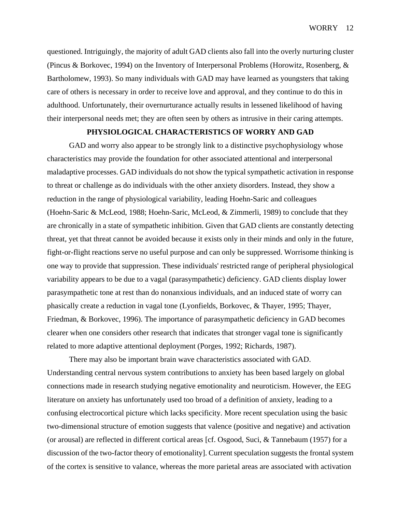questioned. Intriguingly, the majority of adult GAD clients also fall into the overly nurturing cluster (Pincus & Borkovec, 1994) on the Inventory of Interpersonal Problems (Horowitz, Rosenberg, & Bartholomew, 1993). So many individuals with GAD may have learned as youngsters that taking care of others is necessary in order to receive love and approval, and they continue to do this in adulthood. Unfortunately, their overnurturance actually results in lessened likelihood of having their interpersonal needs met; they are often seen by others as intrusive in their caring attempts.

## **PHYSIOLOGICAL CHARACTERISTICS OF WORRY AND GAD**

GAD and worry also appear to be strongly link to a distinctive psychophysiology whose characteristics may provide the foundation for other associated attentional and interpersonal maladaptive processes. GAD individuals do not show the typical sympathetic activation in response to threat or challenge as do individuals with the other anxiety disorders. Instead, they show a reduction in the range of physiological variability, leading Hoehn-Saric and colleagues (Hoehn-Saric & McLeod, 1988; Hoehn-Saric, McLeod, & Zimmerli, 1989) to conclude that they are chronically in a state of sympathetic inhibition. Given that GAD clients are constantly detecting threat, yet that threat cannot be avoided because it exists only in their minds and only in the future, fight-or-flight reactions serve no useful purpose and can only be suppressed. Worrisome thinking is one way to provide that suppression. These individuals' restricted range of peripheral physiological variability appears to be due to a vagal (parasympathetic) deficiency. GAD clients display lower parasympathetic tone at rest than do nonanxious individuals, and an induced state of worry can phasically create a reduction in vagal tone (Lyonfields, Borkovec, & Thayer, 1995; Thayer, Friedman, & Borkovec, 1996). The importance of parasympathetic deficiency in GAD becomes clearer when one considers other research that indicates that stronger vagal tone is significantly related to more adaptive attentional deployment (Porges, 1992; Richards, 1987).

There may also be important brain wave characteristics associated with GAD. Understanding central nervous system contributions to anxiety has been based largely on global connections made in research studying negative emotionality and neuroticism. However, the EEG literature on anxiety has unfortunately used too broad of a definition of anxiety, leading to a confusing electrocortical picture which lacks specificity. More recent speculation using the basic two-dimensional structure of emotion suggests that valence (positive and negative) and activation (or arousal) are reflected in different cortical areas [cf. Osgood, Suci, & Tannebaum (1957) for a discussion of the two-factor theory of emotionality]. Current speculation suggests the frontal system of the cortex is sensitive to valance, whereas the more parietal areas are associated with activation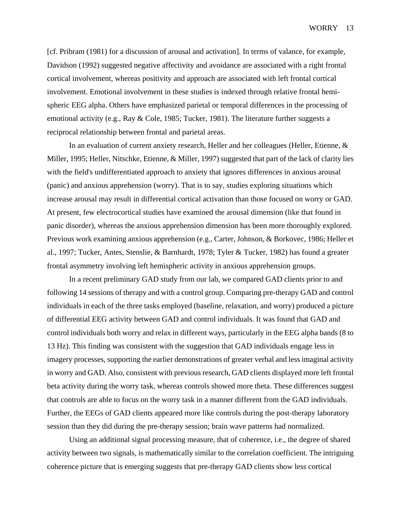[cf. Pribram (1981) for a discussion of arousal and activation]. In terms of valance, for example, Davidson (1992) suggested negative affectivity and avoidance are associated with a right frontal cortical involvement, whereas positivity and approach are associated with left frontal cortical involvement. Emotional involvement in these studies is indexed through relative frontal hemispheric EEG alpha. Others have emphasized parietal or temporal differences in the processing of emotional activity (e.g., Ray & Cole, 1985; Tucker, 1981). The literature further suggests a reciprocal relationship between frontal and parietal areas.

In an evaluation of current anxiety research, Heller and her colleagues (Heller, Etienne, & Miller, 1995; Heller, Nitschke, Etienne, & Miller, 1997) suggested that part of the lack of clarity lies with the field's undifferentiated approach to anxiety that ignores differences in anxious arousal (panic) and anxious apprehension (worry). That is to say, studies exploring situations which increase arousal may result in differential cortical activation than those focused on worry or GAD. At present, few electrocortical studies have examined the arousal dimension (like that found in panic disorder), whereas the anxious apprehension dimension has been more thoroughly explored. Previous work examining anxious apprehension (e.g., Carter, Johnson, & Borkovec, 1986; Heller et al., 1997; Tucker, Antes, Stenslie, & Barnhardt, 1978; Tyler & Tucker, 1982) has found a greater frontal asymmetry involving left hemispheric activity in anxious apprehension groups.

In a recent preliminary GAD study from our lab, we compared GAD clients prior to and following 14 sessions of therapy and with a control group. Comparing pre-therapy GAD and control individuals in each of the three tasks employed (baseline, relaxation, and worry) produced a picture of differential EEG activity between GAD and control individuals. It was found that GAD and control individuals both worry and relax in different ways, particularly in the EEG alpha bands (8 to 13 Hz). This finding was consistent with the suggestion that GAD individuals engage less in imagery processes, supporting the earlier demonstrations of greater verbal and less imaginal activity in worry and GAD. Also, consistent with previous research, GAD clients displayed more left frontal beta activity during the worry task, whereas controls showed more theta. These differences suggest that controls are able to focus on the worry task in a manner different from the GAD individuals. Further, the EEGs of GAD clients appeared more like controls during the post-therapy laboratory session than they did during the pre-therapy session; brain wave patterns had normalized.

Using an additional signal processing measure, that of coherence, i.e., the degree of shared activity between two signals, is mathematically similar to the correlation coefficient. The intriguing coherence picture that is emerging suggests that pre-therapy GAD clients show less cortical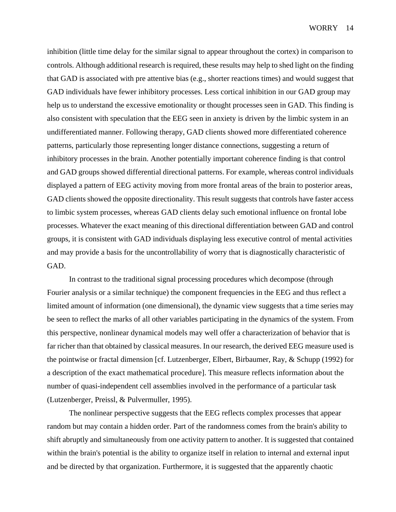inhibition (little time delay for the similar signal to appear throughout the cortex) in comparison to controls. Although additional research is required, these results may help to shed light on the finding that GAD is associated with pre attentive bias (e.g., shorter reactions times) and would suggest that GAD individuals have fewer inhibitory processes. Less cortical inhibition in our GAD group may help us to understand the excessive emotionality or thought processes seen in GAD. This finding is also consistent with speculation that the EEG seen in anxiety is driven by the limbic system in an undifferentiated manner. Following therapy, GAD clients showed more differentiated coherence patterns, particularly those representing longer distance connections, suggesting a return of inhibitory processes in the brain. Another potentially important coherence finding is that control and GAD groups showed differential directional patterns. For example, whereas control individuals displayed a pattern of EEG activity moving from more frontal areas of the brain to posterior areas, GAD clients showed the opposite directionality. This result suggests that controls have faster access to limbic system processes, whereas GAD clients delay such emotional influence on frontal lobe processes. Whatever the exact meaning of this directional differentiation between GAD and control groups, it is consistent with GAD individuals displaying less executive control of mental activities and may provide a basis for the uncontrollability of worry that is diagnostically characteristic of GAD.

In contrast to the traditional signal processing procedures which decompose (through Fourier analysis or a similar technique) the component frequencies in the EEG and thus reflect a limited amount of information (one dimensional), the dynamic view suggests that a time series may be seen to reflect the marks of all other variables participating in the dynamics of the system. From this perspective, nonlinear dynamical models may well offer a characterization of behavior that is far richer than that obtained by classical measures. In our research, the derived EEG measure used is the pointwise or fractal dimension [cf. Lutzenberger, Elbert, Birbaumer, Ray, & Schupp (1992) for a description of the exact mathematical procedure]. This measure reflects information about the number of quasi-independent cell assemblies involved in the performance of a particular task (Lutzenberger, Preissl, & Pulvermuller, 1995).

The nonlinear perspective suggests that the EEG reflects complex processes that appear random but may contain a hidden order. Part of the randomness comes from the brain's ability to shift abruptly and simultaneously from one activity pattern to another. It is suggested that contained within the brain's potential is the ability to organize itself in relation to internal and external input and be directed by that organization. Furthermore, it is suggested that the apparently chaotic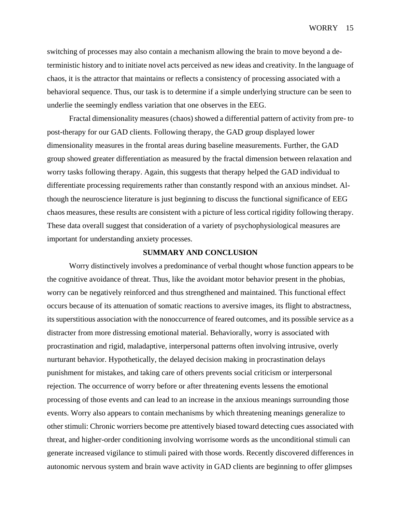switching of processes may also contain a mechanism allowing the brain to move beyond a deterministic history and to initiate novel acts perceived as new ideas and creativity. In the language of chaos, it is the attractor that maintains or reflects a consistency of processing associated with a behavioral sequence. Thus, our task is to determine if a simple underlying structure can be seen to underlie the seemingly endless variation that one observes in the EEG.

Fractal dimensionality measures (chaos) showed a differential pattern of activity from pre- to post-therapy for our GAD clients. Following therapy, the GAD group displayed lower dimensionality measures in the frontal areas during baseline measurements. Further, the GAD group showed greater differentiation as measured by the fractal dimension between relaxation and worry tasks following therapy. Again, this suggests that therapy helped the GAD individual to differentiate processing requirements rather than constantly respond with an anxious mindset. Although the neuroscience literature is just beginning to discuss the functional significance of EEG chaos measures, these results are consistent with a picture of less cortical rigidity following therapy. These data overall suggest that consideration of a variety of psychophysiological measures are important for understanding anxiety processes.

## **SUMMARY AND CONCLUSION**

Worry distinctively involves a predominance of verbal thought whose function appears to be the cognitive avoidance of threat. Thus, like the avoidant motor behavior present in the phobias, worry can be negatively reinforced and thus strengthened and maintained. This functional effect occurs because of its attenuation of somatic reactions to aversive images, its flight to abstractness, its superstitious association with the nonoccurrence of feared outcomes, and its possible service as a distracter from more distressing emotional material. Behaviorally, worry is associated with procrastination and rigid, maladaptive, interpersonal patterns often involving intrusive, overly nurturant behavior. Hypothetically, the delayed decision making in procrastination delays punishment for mistakes, and taking care of others prevents social criticism or interpersonal rejection. The occurrence of worry before or after threatening events lessens the emotional processing of those events and can lead to an increase in the anxious meanings surrounding those events. Worry also appears to contain mechanisms by which threatening meanings generalize to other stimuli: Chronic worriers become pre attentively biased toward detecting cues associated with threat, and higher-order conditioning involving worrisome words as the unconditional stimuli can generate increased vigilance to stimuli paired with those words. Recently discovered differences in autonomic nervous system and brain wave activity in GAD clients are beginning to offer glimpses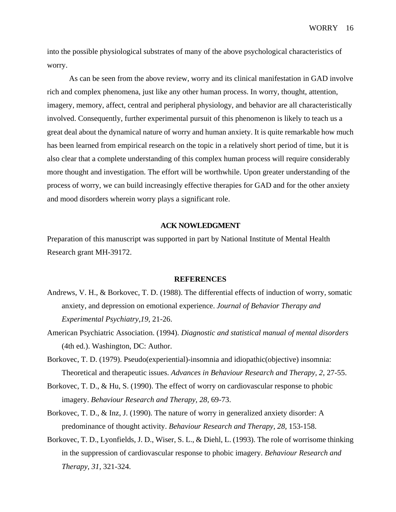into the possible physiological substrates of many of the above psychological characteristics of worry.

As can be seen from the above review, worry and its clinical manifestation in GAD involve rich and complex phenomena, just like any other human process. In worry, thought, attention, imagery, memory, affect, central and peripheral physiology, and behavior are all characteristically involved. Consequently, further experimental pursuit of this phenomenon is likely to teach us a great deal about the dynamical nature of worry and human anxiety. It is quite remarkable how much has been learned from empirical research on the topic in a relatively short period of time, but it is also clear that a complete understanding of this complex human process will require considerably more thought and investigation. The effort will be worthwhile. Upon greater understanding of the process of worry, we can build increasingly effective therapies for GAD and for the other anxiety and mood disorders wherein worry plays a significant role.

#### **ACK NOWLEDGMENT**

Preparation of this manuscript was supported in part by National Institute of Mental Health Research grant MH-39172.

#### **REFERENCES**

- Andrews, V. H., & Borkovec, T. D. (1988). The differential effects of induction of worry, somatic anxiety, and depression on emotional experience. *Journal of Behavior Therapy and Experimental Psychiatry,19,* 21-26.
- American Psychiatric Association. (1994). *Diagnostic and statistical manual of mental disorders*  (4th ed.). Washington, DC: Author.
- Borkovec, T. D. (1979). Pseudo(experiential)-insomnia and idiopathic(objective) insomnia: Theoretical and therapeutic issues. *Advances in Behaviour Research and Therapy, 2,* 27-55.
- Borkovec, T. D., & Hu, S. (1990). The effect of worry on cardiovascular response to phobic imagery. *Behaviour Research and Therapy, 28,* 69-73.
- Borkovec, T. D., & Inz, J. (1990). The nature of worry in generalized anxiety disorder: A predominance of thought activity. *Behaviour Research and Therapy, 28,* 153-158.
- Borkovec, T. D., Lyonfields, J. D., Wiser, S. L., & Diehl, L. (1993). The role of worrisome thinking in the suppression of cardiovascular response to phobic imagery. *Behaviour Research and Therapy, 31,* 321-324.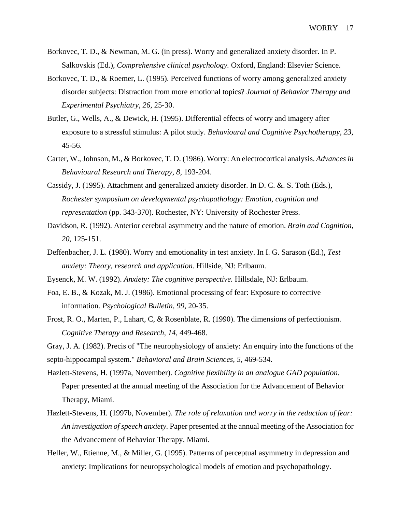- Borkovec, T. D., & Newman, M. G. (in press). Worry and generalized anxiety disorder. In P. Salkovskis (Ed.), *Comprehensive clinical psychology.* Oxford, England: Elsevier Science.
- Borkovec, T. D., & Roemer, L. (1995). Perceived functions of worry among generalized anxiety disorder subjects: Distraction from more emotional topics? *Journal of Behavior Therapy and Experimental Psychiatry, 26,* 25-30.
- Butler, G., Wells, A., & Dewick, H. (1995). Differential effects of worry and imagery after exposure to a stressful stimulus: A pilot study. *Behavioural and Cognitive Psychotherapy, 23,*  45-56.
- Carter, W., Johnson, M., & Borkovec, T. D. (1986). Worry: An electrocortical analysis. *Advances in Behavioural Research and Therapy, 8,* 193-204.
- Cassidy, J. (1995). Attachment and generalized anxiety disorder. In D. C. &. S. Toth (Eds.), *Rochester symposium on developmental psychopathology: Emotion, cognition and representation* (pp. 343-370). Rochester, NY: University of Rochester Press.
- Davidson, R. (1992). Anterior cerebral asymmetry and the nature of emotion. *Brain and Cognition, 20,* 125-151.
- Deffenbacher, J. L. (1980). Worry and emotionality in test anxiety. In I. G. Sarason (Ed.), *Test anxiety: Theory, research and application.* Hillside, NJ: Erlbaum.
- Eysenck, M. W. (1992). *Anxiety: The cognitive perspective.* Hillsdale, NJ: Erlbaum.
- Foa, E. B., & Kozak, M. J. (1986). Emotional processing of fear: Exposure to corrective information. *Psychological Bulletin, 99,* 20-35.
- Frost, R. O., Marten, P., Lahart, C, & Rosenblate, R. (1990). The dimensions of perfectionism. *Cognitive Therapy and Research, 14,* 449-468.

Gray, J. A. (1982). Precis of "The neurophysiology of anxiety: An enquiry into the functions of the septo-hippocampal system." *Behavioral and Brain Sciences, 5,* 469-534.

- Hazlett-Stevens, H. (1997a, November). *Cognitive flexibility in an analogue GAD population.*  Paper presented at the annual meeting of the Association for the Advancement of Behavior Therapy, Miami.
- Hazlett-Stevens, H. (1997b, November). *The role of relaxation and worry in the reduction of fear: An investigation of speech anxiety.* Paper presented at the annual meeting of the Association for the Advancement of Behavior Therapy, Miami.
- Heller, W., Etienne, M., & Miller, G. (1995). Patterns of perceptual asymmetry in depression and anxiety: Implications for neuropsychological models of emotion and psychopathology.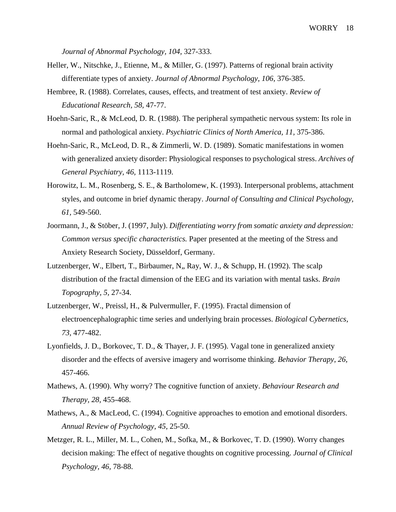*Journal of Abnormal Psychology, 104,* 327-333.

- Heller, W., Nitschke, J., Etienne, M., & Miller, G. (1997). Patterns of regional brain activity differentiate types of anxiety. *Journal of Abnormal Psychology, 106,* 376-385.
- Hembree, R. (1988). Correlates, causes, effects, and treatment of test anxiety. *Review of Educational Research, 58,* 47-77.
- Hoehn-Saric, R., & McLeod, D. R. (1988). The peripheral sympathetic nervous system: Its role in normal and pathological anxiety. *Psychiatric Clinics of North America, 11,* 375-386.
- Hoehn-Saric, R., McLeod, D. R., & Zimmerli, W. D. (1989). Somatic manifestations in women with generalized anxiety disorder: Physiological responses to psychological stress. *Archives of General Psychiatry, 46,* 1113-1119.
- Horowitz, L. M., Rosenberg, S. E., & Bartholomew, K. (1993). Interpersonal problems, attachment styles, and outcome in brief dynamic therapy. *Journal of Consulting and Clinical Psychology, 61,* 549-560.
- Joormann, J., & Stöber, J. (1997, July). *Differentiating worry from somatic anxiety and depression: Common versus specific characteristics.* Paper presented at the meeting of the Stress and Anxiety Research Society, Düsseldorf, Germany.
- Lutzenberger, W., Elbert, T., Birbaumer, N., Ray, W. J., & Schupp, H. (1992). The scalp distribution of the fractal dimension of the EEG and its variation with mental tasks. *Brain Topography, 5,* 27-34.
- Lutzenberger, W., Preissl, H., & Pulvermuller, F. (1995). Fractal dimension of electroencephalographic time series and underlying brain processes. *Biological Cybernetics, 73,* 477-482.
- Lyonfields, J. D., Borkovec, T. D., & Thayer, J. F. (1995). Vagal tone in generalized anxiety disorder and the effects of aversive imagery and worrisome thinking. *Behavior Therapy, 26,*  457-466.
- Mathews, A. (1990). Why worry? The cognitive function of anxiety. *Behaviour Research and Therapy, 28,* 455-468.
- Mathews, A., & MacLeod, C. (1994). Cognitive approaches to emotion and emotional disorders. *Annual Review of Psychology, 45,* 25-50.
- Metzger, R. L., Miller, M. L., Cohen, M., Sofka, M., & Borkovec, T. D. (1990). Worry changes decision making: The effect of negative thoughts on cognitive processing. *Journal of Clinical Psychology, 46,* 78-88.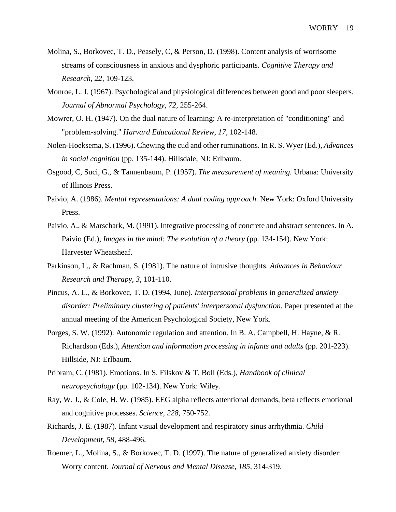- Molina, S., Borkovec, T. D., Peasely, C, & Person, D. (1998). Content analysis of worrisome streams of consciousness in anxious and dysphoric participants. *Cognitive Therapy and Research, 22,* 109-123.
- Monroe, L. J. (1967). Psychological and physiological differences between good and poor sleepers. *Journal of Abnormal Psychology, 72,* 255-264.
- Mowrer, O. H. (1947). On the dual nature of learning: A re-interpretation of "conditioning" and "problem-solving." *Harvard Educational Review, 17,* 102-148.
- Nolen-Hoeksema, S. (1996). Chewing the cud and other ruminations. In R. S. Wyer (Ed.), *Advances in social cognition* (pp. 135-144). Hillsdale, NJ: Erlbaum.
- Osgood, C, Suci, G., & Tannenbaum, P. (1957). *The measurement of meaning.* Urbana: University of Illinois Press.
- Paivio, A. (1986). *Mental representations: A dual coding approach.* New York: Oxford University Press.
- Paivio, A., & Marschark, M. (1991). Integrative processing of concrete and abstract sentences. In A. Paivio (Ed.), *Images in the mind: The evolution of a theory* (pp. 134-154). New York: Harvester Wheatsheaf.
- Parkinson, L., & Rachman, S. (1981). The nature of intrusive thoughts. *Advances in Behaviour Research and Therapy, 3,* 101-110.
- Pincus, A. L., & Borkovec, T. D. (1994, June). *Interpersonal problems* in *generalized anxiety*  disorder: Preliminary clustering of patients' interpersonal dysfunction. Paper presented at the annual meeting of the American Psychological Society, New York.
- Porges, S. W. (1992). Autonomic regulation and attention. In B. A. Campbell, H. Hayne, & R. Richardson (Eds.), *Attention and information processing in infants and adults* (pp. 201-223). Hillside, NJ: Erlbaum.
- Pribram, C. (1981). Emotions. In S. Filskov & T. Boll (Eds.), *Handbook of clinical neuropsychology* (pp. 102-134). New York: Wiley.
- Ray, W. J., & Cole, H. W. (1985). EEG alpha reflects attentional demands, beta reflects emotional and cognitive processes. *Science, 228,* 750-752.
- Richards, J. E. (1987). Infant visual development and respiratory sinus arrhythmia. *Child Development, 58,* 488-496.
- Roemer, L., Molina, S., & Borkovec, T. D. (1997). The nature of generalized anxiety disorder: Worry content. *Journal of Nervous and Mental Disease, 185,* 314-319.